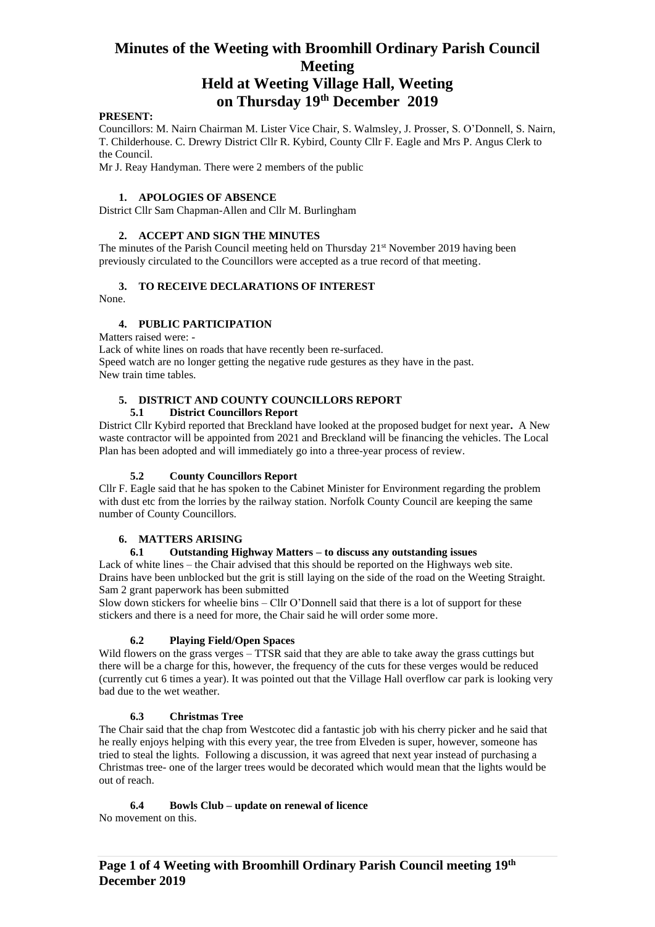# **Minutes of the Weeting with Broomhill Ordinary Parish Council Meeting Held at Weeting Village Hall, Weeting**

## **on Thursday 19th December 2019**

## **PRESENT:**

Councillors: M. Nairn Chairman M. Lister Vice Chair, S. Walmsley, J. Prosser, S. O'Donnell, S. Nairn, T. Childerhouse. C. Drewry District Cllr R. Kybird, County Cllr F. Eagle and Mrs P. Angus Clerk to the Council.

Mr J. Reay Handyman. There were 2 members of the public

### **1. APOLOGIES OF ABSENCE**

District Cllr Sam Chapman-Allen and Cllr M. Burlingham

### **2. ACCEPT AND SIGN THE MINUTES**

The minutes of the Parish Council meeting held on Thursday  $21<sup>st</sup>$  November 2019 having been previously circulated to the Councillors were accepted as a true record of that meeting.

## **3. TO RECEIVE DECLARATIONS OF INTEREST**

None.

## **4. PUBLIC PARTICIPATION**

Matters raised were: -

Lack of white lines on roads that have recently been re-surfaced. Speed watch are no longer getting the negative rude gestures as they have in the past. New train time tables.

### **5. DISTRICT AND COUNTY COUNCILLORS REPORT**

### **5.1 District Councillors Report**

District Cllr Kybird reported that Breckland have looked at the proposed budget for next year**.** A New waste contractor will be appointed from 2021 and Breckland will be financing the vehicles. The Local Plan has been adopted and will immediately go into a three-year process of review.

## **5.2 County Councillors Report**

Cllr F. Eagle said that he has spoken to the Cabinet Minister for Environment regarding the problem with dust etc from the lorries by the railway station. Norfolk County Council are keeping the same number of County Councillors.

## **6. MATTERS ARISING**

#### **6.1 Outstanding Highway Matters – to discuss any outstanding issues**

Lack of white lines – the Chair advised that this should be reported on the Highways web site. Drains have been unblocked but the grit is still laying on the side of the road on the Weeting Straight. Sam 2 grant paperwork has been submitted

Slow down stickers for wheelie bins – Cllr O'Donnell said that there is a lot of support for these stickers and there is a need for more, the Chair said he will order some more.

## **6.2 Playing Field/Open Spaces**

Wild flowers on the grass verges – TTSR said that they are able to take away the grass cuttings but there will be a charge for this, however, the frequency of the cuts for these verges would be reduced (currently cut 6 times a year). It was pointed out that the Village Hall overflow car park is looking very bad due to the wet weather.

## **6.3 Christmas Tree**

The Chair said that the chap from Westcotec did a fantastic job with his cherry picker and he said that he really enjoys helping with this every year, the tree from Elveden is super, however, someone has tried to steal the lights. Following a discussion, it was agreed that next year instead of purchasing a Christmas tree- one of the larger trees would be decorated which would mean that the lights would be out of reach.

#### **6.4 Bowls Club – update on renewal of licence**

No movement on this.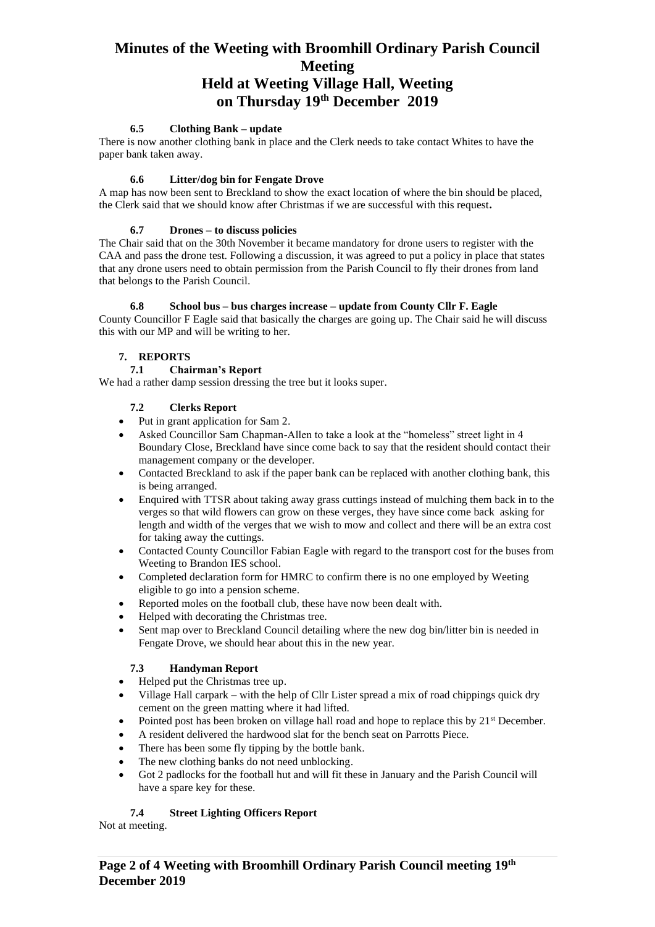# **Minutes of the Weeting with Broomhill Ordinary Parish Council Meeting Held at Weeting Village Hall, Weeting on Thursday 19th December 2019**

## **6.5 Clothing Bank – update**

There is now another clothing bank in place and the Clerk needs to take contact Whites to have the paper bank taken away.

### **6.6 Litter/dog bin for Fengate Drove**

A map has now been sent to Breckland to show the exact location of where the bin should be placed, the Clerk said that we should know after Christmas if we are successful with this request**.** 

#### **6.7 Drones – to discuss policies**

The Chair said that on the 30th November it became mandatory for drone users to register with the CAA and pass the drone test. Following a discussion, it was agreed to put a policy in place that states that any drone users need to obtain permission from the Parish Council to fly their drones from land that belongs to the Parish Council.

### **6.8 School bus – bus charges increase – update from County Cllr F. Eagle**

County Councillor F Eagle said that basically the charges are going up. The Chair said he will discuss this with our MP and will be writing to her.

## **7. REPORTS**

### **7.1 Chairman's Report**

We had a rather damp session dressing the tree but it looks super.

### **7.2 Clerks Report**

- Put in grant application for Sam 2.
- Asked Councillor Sam Chapman-Allen to take a look at the "homeless" street light in 4 Boundary Close, Breckland have since come back to say that the resident should contact their management company or the developer.
- Contacted Breckland to ask if the paper bank can be replaced with another clothing bank, this is being arranged.
- Enquired with TTSR about taking away grass cuttings instead of mulching them back in to the verges so that wild flowers can grow on these verges, they have since come back asking for length and width of the verges that we wish to mow and collect and there will be an extra cost for taking away the cuttings.
- Contacted County Councillor Fabian Eagle with regard to the transport cost for the buses from Weeting to Brandon IES school.
- Completed declaration form for HMRC to confirm there is no one employed by Weeting eligible to go into a pension scheme.
- Reported moles on the football club, these have now been dealt with.
- Helped with decorating the Christmas tree.
- Sent map over to Breckland Council detailing where the new dog bin/litter bin is needed in Fengate Drove, we should hear about this in the new year.

## **7.3 Handyman Report**

- Helped put the Christmas tree up.
- Village Hall carpark with the help of Cllr Lister spread a mix of road chippings quick dry cement on the green matting where it had lifted.
- Pointed post has been broken on village hall road and hope to replace this by 21<sup>st</sup> December.
- A resident delivered the hardwood slat for the bench seat on Parrotts Piece.
- There has been some fly tipping by the bottle bank.
- The new clothing banks do not need unblocking.
- Got 2 padlocks for the football hut and will fit these in January and the Parish Council will have a spare key for these.

## **7.4 Street Lighting Officers Report**

Not at meeting.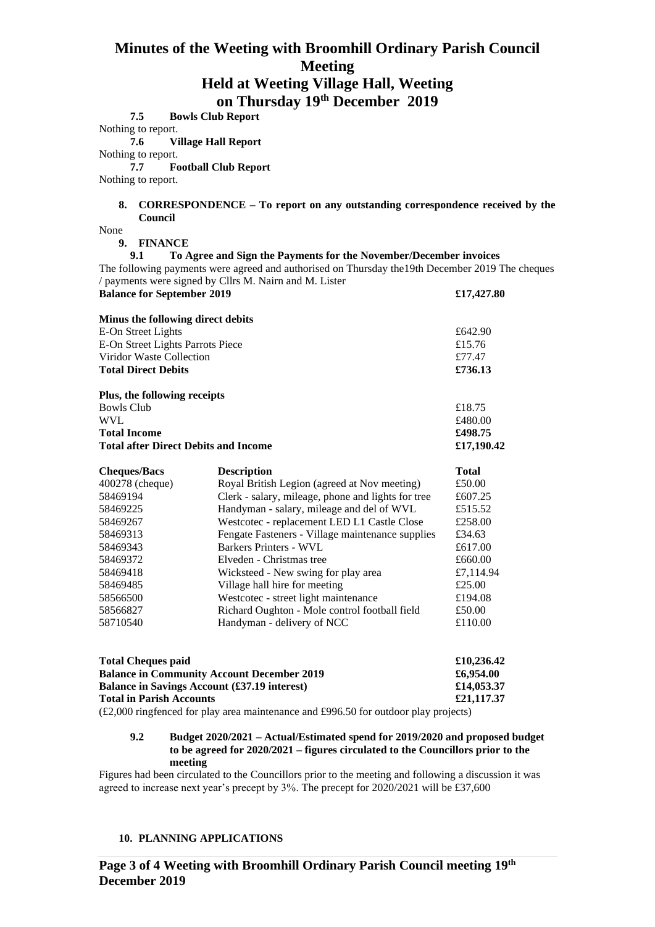## **Minutes of the Weeting with Broomhill Ordinary Parish Council Meeting Held at Weeting Village Hall, Weeting**

**on Thursday 19th December 2019**

**7.5 Bowls Club Report**

Nothing to report.

**7.6 Village Hall Report**

Nothing to report.

**7.7 Football Club Report**

Nothing to report.

#### **8. CORRESPONDENCE – To report on any outstanding correspondence received by the Council**

None

**9. FINANCE**

**9.1 To Agree and Sign the Payments for the November/December invoices**

The following payments were agreed and authorised on Thursday the19th December 2019 The cheques / payments were signed by Cllrs M. Nairn and M. Lister **Balance for September 2019 £17,427.80**

**Total after Direct Debits and Income £17,190.42**

| Minus the following direct debits |          |
|-----------------------------------|----------|
| E-On Street Lights                | £642.90  |
| E-On Street Lights Parrots Piece  | £15.76   |
| Viridor Waste Collection          | £77.47   |
| <b>Total Direct Debits</b>        | £736.13  |
| Plus, the following receipts      |          |
| Bowls Club                        | £18.75   |
| <b>WVL</b>                        | £480.00  |
| $\mathbf{m}$ in $\mathbf{r}$      | 0.100 FF |

| <b>Total Income</b>                         | £498.75 |
|---------------------------------------------|---------|
| <b>Total after Direct Debits and Income</b> | £17.190 |

| <b>Cheques/Bacs</b> | <b>Description</b>                                 | <b>Total</b> |
|---------------------|----------------------------------------------------|--------------|
| 400278 (cheque)     | Royal British Legion (agreed at Nov meeting)       | £50.00       |
| 58469194            | Clerk - salary, mileage, phone and lights for tree | £607.25      |
| 58469225            | Handyman - salary, mileage and del of WVL          | £515.52      |
| 58469267            | Westcotec - replacement LED L1 Castle Close        | £258.00      |
| 58469313            | Fengate Fasteners - Village maintenance supplies   | £34.63       |
| 58469343            | Barkers Printers - WVL                             | £617.00      |
| 58469372            | Elveden - Christmas tree                           | £660.00      |
| 58469418            | Wicksteed - New swing for play area                | £7,114.94    |
| 58469485            | Village hall hire for meeting                      | £25.00       |
| 58566500            | Westcotec - street light maintenance               | £194.08      |
| 58566827            | Richard Oughton - Mole control football field      | £50.00       |
| 58710540            | Handyman - delivery of NCC                         | £110.00      |

| Total Cheques paid<br><b>Balance in Community Account December 2019</b><br><b>Balance in Savings Account (£37.19 interest)</b> |  |                     |  |  | £10,236.42              |  |  |                          |
|--------------------------------------------------------------------------------------------------------------------------------|--|---------------------|--|--|-------------------------|--|--|--------------------------|
|                                                                                                                                |  |                     |  |  | £6,954.00<br>£14,053.37 |  |  |                          |
|                                                                                                                                |  |                     |  |  |                         |  |  | Total in Parish Accounts |
| $(0.200 \times 0.000)$                                                                                                         |  | $1.000 \times F0.0$ |  |  |                         |  |  |                          |

(£2,000 ringfenced for play area maintenance and £996.50 for outdoor play projects)

#### **9.2 Budget 2020/2021 – Actual/Estimated spend for 2019/2020 and proposed budget to be agreed for 2020/2021 – figures circulated to the Councillors prior to the meeting**

Figures had been circulated to the Councillors prior to the meeting and following a discussion it was agreed to increase next year's precept by 3%. The precept for 2020/2021 will be £37,600

## **10. PLANNING APPLICATIONS**